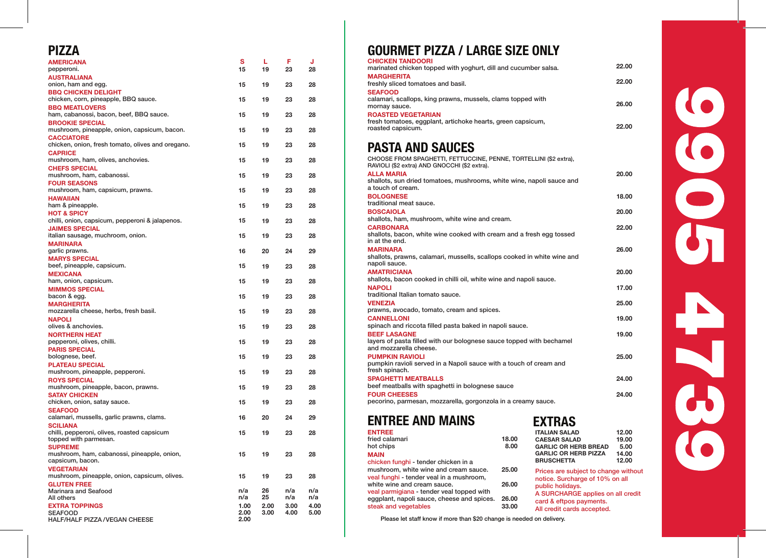| <b>AMERICANA</b>                                                     | s    | L    | F    | J    | <b>CHICKEN TANDOORI</b>                      |
|----------------------------------------------------------------------|------|------|------|------|----------------------------------------------|
| pepperoni.                                                           | 15   | 19   | 23   | 28   | marinated chicken top                        |
| <b>AUSTRALIANA</b>                                                   |      |      |      |      | <b>MARGHERITA</b>                            |
| onion, ham and egg.                                                  | 15   | 19   | 23   | 28   | freshly sliced tomatoe<br><b>SEAFOOD</b>     |
| <b>BBQ CHICKEN DELIGHT</b><br>chicken, corn, pineapple, BBQ sauce.   | 15   | 19   | 23   | 28   | calamari, scallops, kin                      |
| <b>BBQ MEATLOVERS</b>                                                |      |      |      |      | mornay sauce.                                |
| ham, cabanossi, bacon, beef, BBQ sauce.                              | 15   | 19   | 23   | 28   | <b>ROASTED VEGETARI</b>                      |
| <b>BROOKIE SPECIAL</b>                                               |      |      |      |      | fresh tomatoes, eggpl                        |
| mushroom, pineapple, onion, capsicum, bacon.                         | 15   | 19   | 23   | 28   | roasted capsicum.                            |
| <b>CACCIATORE</b>                                                    |      |      |      |      |                                              |
| chicken, onion, fresh tomato, olives and oregano.                    | 15   | 19   | 23   | 28   | <b>PASTA AND</b>                             |
| <b>CAPRICE</b>                                                       |      |      |      |      |                                              |
| mushroom, ham, olives, anchovies.                                    | 15   | 19   | 23   | 28   | <b>CHOOSE FROM SPAGH</b>                     |
| <b>CHEFS SPECIAL</b>                                                 |      |      |      |      | RAVIOLI (\$2 extra) AND                      |
| mushroom, ham, cabanossi.                                            | 15   | 19   | 23   | 28   | <b>ALLA MARIA</b>                            |
| <b>FOUR SEASONS</b>                                                  |      |      |      |      | shallots, sun dried ton<br>a touch of cream. |
| mushroom, ham, capsicum, prawns.                                     | 15   | 19   | 23   | 28   |                                              |
| <b>HAWAIIAN</b>                                                      |      |      |      |      | <b>BOLOGNESE</b><br>traditional meat sauce   |
| ham & pineapple.                                                     | 15   | 19   | 23   | 28   |                                              |
| <b>HOT &amp; SPICY</b>                                               |      |      |      |      | <b>BOSCAIOLA</b><br>shallots, ham, mushro    |
| chilli, onion, capsicum, pepperoni & jalapenos.                      | 15   | 19   | 23   | 28   | <b>CARBONARA</b>                             |
| <b>JAIMES SPECIAL</b>                                                |      |      |      |      | shallots, bacon, white                       |
| italian sausage, muchroom, onion.                                    | 15   | 19   | 23   | 28   | in at the end.                               |
| <b>MARINARA</b>                                                      | 16   | 20   | 24   | 29   | <b>MARINARA</b>                              |
| garlic prawns.                                                       |      |      |      |      | shallots, prawns, cala                       |
| <b>MARYS SPECIAL</b><br>beef, pineapple, capsicum.                   | 15   | 19   | 23   | 28   | napoli sauce.                                |
| <b>MEXICANA</b>                                                      |      |      |      |      | <b>AMATRICIANA</b>                           |
| ham, onion, capsicum.                                                | 15   | 19   | 23   | 28   | shallots, bacon cooke                        |
| <b>MIMMOS SPECIAL</b>                                                |      |      |      |      | <b>NAPOLI</b>                                |
| bacon & egg.                                                         | 15   | 19   | 23   | 28   | traditional Italian toma                     |
| <b>MARGHERITA</b>                                                    |      |      |      |      | <b>VENEZIA</b>                               |
| mozzarella cheese, herbs, fresh basil.                               | 15   | 19   | 23   | 28   | prawns, avocado, tom                         |
| <b>NAPOLI</b>                                                        |      |      |      |      | <b>CANNELLONI</b>                            |
| olives & anchovies.                                                  | 15   | 19   | 23   | 28   | spinach and riccota fil                      |
| <b>NORTHERN HEAT</b>                                                 |      |      |      |      | <b>BEEF LASAGNE</b>                          |
| pepperoni, olives, chilli.                                           | 15   | 19   | 23   | 28   | layers of pasta filled w                     |
| <b>PARIS SPECIAL</b>                                                 |      |      |      |      | and mozzarella chees                         |
| bolognese, beef.                                                     | 15   | 19   | 23   | 28   | <b>PUMPKIN RAVIOLI</b>                       |
| <b>PLATEAU SPECIAL</b>                                               |      |      |      |      | pumpkin ravioli served                       |
| mushroom, pineapple, pepperoni.                                      | 15   | 19   | 23   | 28   | fresh spinach.                               |
| <b>ROYS SPECIAL</b>                                                  |      |      |      |      | <b>SPAGHETTI MEATBA</b>                      |
| mushroom, pineapple, bacon, prawns.                                  | 15   | 19   | 23   | 28   | beef meatballs with sp                       |
| <b>SATAY CHICKEN</b>                                                 |      |      |      |      | <b>FOUR CHEESES</b>                          |
| chicken, onion, satay sauce.                                         | 15   | 19   | 23   | 28   | pecorino, parmesan, r                        |
| <b>SEAFOOD</b>                                                       |      |      |      |      |                                              |
| calamari, mussells, garlic prawns, clams.                            | 16   | 20   | 24   | 29   | <b>ENTREE AND</b>                            |
| <b>SCILIANA</b>                                                      |      |      |      |      | <b>ENTREE</b>                                |
| chilli, pepperoni, olives, roasted capsicum<br>topped with parmesan. | 15   | 19   | 23   | 28   | fried calamari                               |
| <b>SUPREME</b>                                                       |      |      |      |      | hot chips                                    |
| mushroom, ham, cabanossi, pineapple, onion,                          | 15   | 19   | 23   | 28   | <b>MAIN</b>                                  |
| capsicum, bacon.                                                     |      |      |      |      | chicken funghi - tende                       |
| <b>VEGETARIAN</b>                                                    |      |      |      |      | mushroom, white wine                         |
| mushroom, pineapple, onion, capsicum, olives.                        | 15   | 19   | 23   | 28   | veal funghi - tender ve                      |
| <b>GLUTEN FREE</b>                                                   |      |      |      |      | white wine and cream                         |
| Marinara and Seafood                                                 | n/a  | 26   | n/a  | n/a  | veal parmigiana - tend                       |
| All others                                                           | n/a  | 25   | n/a  | n/a  | eggplant, napoli sauc                        |
| <b>EXTRA TOPPINGS</b>                                                | 1.00 | 2.00 | 3.00 | 4.00 | steak and vegetables                         |
| <b>SEAFOOD</b>                                                       | 2.00 | 3.00 | 4.00 | 5.00 |                                              |
| HALF/HALF PIZZA / VEGAN CHEESE                                       | 2.00 |      |      |      | Please let staff kno                         |

#### PIZZA GOURMET PIZZA / LARGE SIZE ONLY

| UNIUNEN IANUUUNI<br>marinated chicken topped with yoghurt, dill and cucumber salsa.            | 22.00 |
|------------------------------------------------------------------------------------------------|-------|
| <b>MARGHERITA</b><br>freshly sliced tomatoes and basil.                                        | 22.00 |
| <b>SEAFOOD</b>                                                                                 |       |
| calamari, scallops, king prawns, mussels, clams topped with                                    |       |
| mornay sauce.                                                                                  | 26.00 |
| <b>ROASTED VEGETARIAN</b>                                                                      |       |
| fresh tomatoes, eggplant, artichoke hearts, green capsicum,<br>roasted capsicum.               | 22.00 |
|                                                                                                |       |
| <b>PASTA AND SAUCES</b>                                                                        |       |
| CHOOSE FROM SPAGHETTI, FETTUCCINE, PENNE, TORTELLINI (\$2 extra),                              |       |
| RAVIOLI (\$2 extra) AND GNOCCHI (\$2 extra).                                                   |       |
| <b>ALLA MARIA</b><br>shallots, sun dried tomatoes, mushrooms, white wine, napoli sauce and     | 20.00 |
| a touch of cream.                                                                              |       |
| <b>BOLOGNESE</b>                                                                               | 18.00 |
| traditional meat sauce.                                                                        |       |
| <b>BOSCAIOLA</b>                                                                               | 20.00 |
| shallots, ham, mushroom, white wine and cream.<br><b>CARBONARA</b>                             | 22.00 |
| shallots, bacon, white wine cooked with cream and a fresh egg tossed                           |       |
| in at the end.                                                                                 |       |
| <b>MARINARA</b>                                                                                | 26.00 |
| shallots, prawns, calamari, mussells, scallops cooked in white wine and<br>napoli sauce.       |       |
| <b>AMATRICIANA</b>                                                                             | 20.00 |
| shallots, bacon cooked in chilli oil, white wine and napoli sauce.                             |       |
| <b>NAPOLI</b>                                                                                  | 17.00 |
| traditional Italian tomato sauce.                                                              |       |
| <b>VENEZIA</b><br>prawns, avocado, tomato, cream and spices.                                   | 25.00 |
| <b>CANNELLONI</b>                                                                              | 19.00 |
| spinach and riccota filled pasta baked in napoli sauce.                                        |       |
| <b>BEEF LASAGNE</b>                                                                            | 19.00 |
| layers of pasta filled with our bolognese sauce topped with bechamel<br>and mozzarella cheese. |       |
| <b>PUMPKIN RAVIOLI</b>                                                                         | 25.00 |
| pumpkin ravioli served in a Napoli sauce with a touch of cream and                             |       |
| fresh spinach.                                                                                 |       |
| <b>SPAGHETTI MEATBALLS</b>                                                                     | 24.00 |
| beef meatballs with spaghetti in bolognese sauce<br><b>FOUR CHEESES</b>                        | 24.00 |
| pecorino, parmesan, mozzarella, gorgonzola in a creamy sauce.                                  |       |

#### ENTREE ENTREE AND MAINS

### EXTRAS

| <b>ENTREE</b><br>fried calamari                                                                                                                                                            | 18.00          | <b>ITALIAN SALAD</b><br><b>CAESAR SALAD</b>                                                                                                       | 12.00<br>19.00 |  |  |
|--------------------------------------------------------------------------------------------------------------------------------------------------------------------------------------------|----------------|---------------------------------------------------------------------------------------------------------------------------------------------------|----------------|--|--|
| hot chips                                                                                                                                                                                  | 8.00           | <b>GARLIC OR HERB BREAD</b>                                                                                                                       | 5.00           |  |  |
| <b>MAIN</b>                                                                                                                                                                                |                | <b>GARLIC OR HERB PIZZA</b>                                                                                                                       | 14.00          |  |  |
| chicken funghi - tender chicken in a                                                                                                                                                       |                | <b>BRUSCHETTA</b>                                                                                                                                 | 12.00          |  |  |
| mushroom, white wine and cream sauce.                                                                                                                                                      | 25.00          | Prices are subject to change without                                                                                                              |                |  |  |
| veal funghi - tender veal in a mushroom,<br>white wine and cream sauce.<br>veal parmigiana - tender veal topped with<br>eggplant, napoli sauce, cheese and spices.<br>steak and vegetables | 26.00          | notice. Surcharge of 10% on all<br>public holidays.<br>A SURCHARGE applies on all credit<br>card & eftpos payments.<br>All credit cards accepted. |                |  |  |
|                                                                                                                                                                                            | 26.00<br>33.00 |                                                                                                                                                   |                |  |  |

Please let staff know if more than \$20 change is needed on delivery.